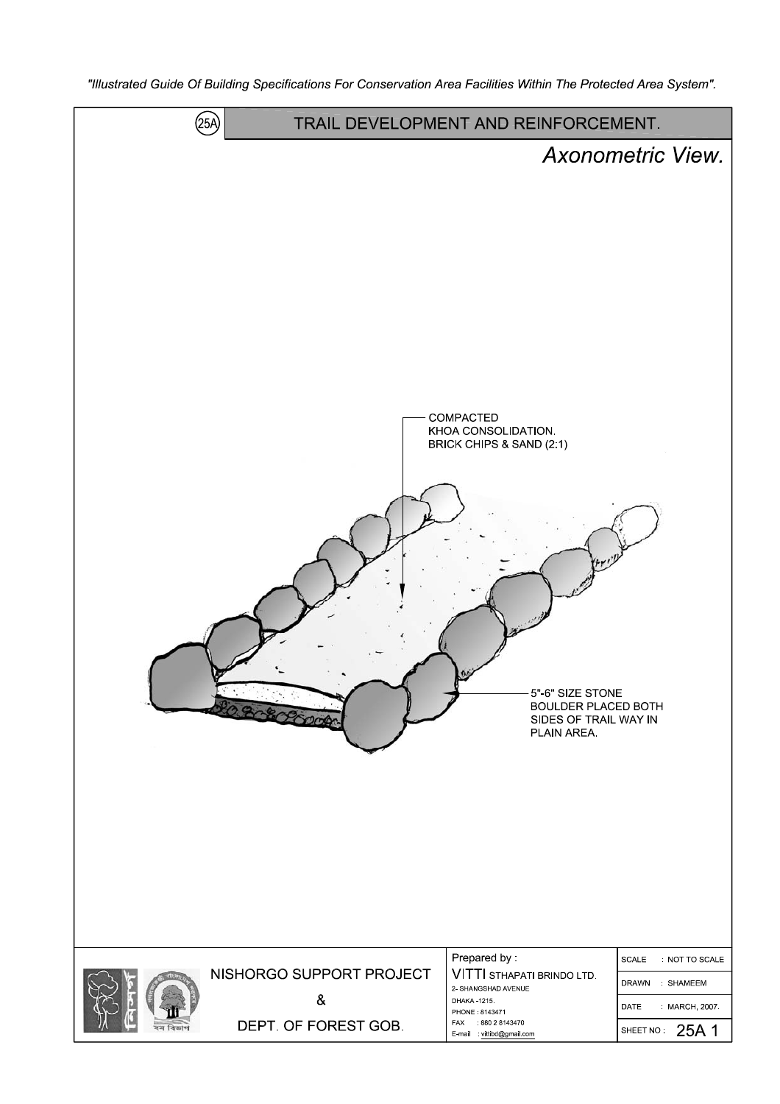"Illustrated Guide Of Building Specifications For Conservation Area Facilities Within The Protected Area System".

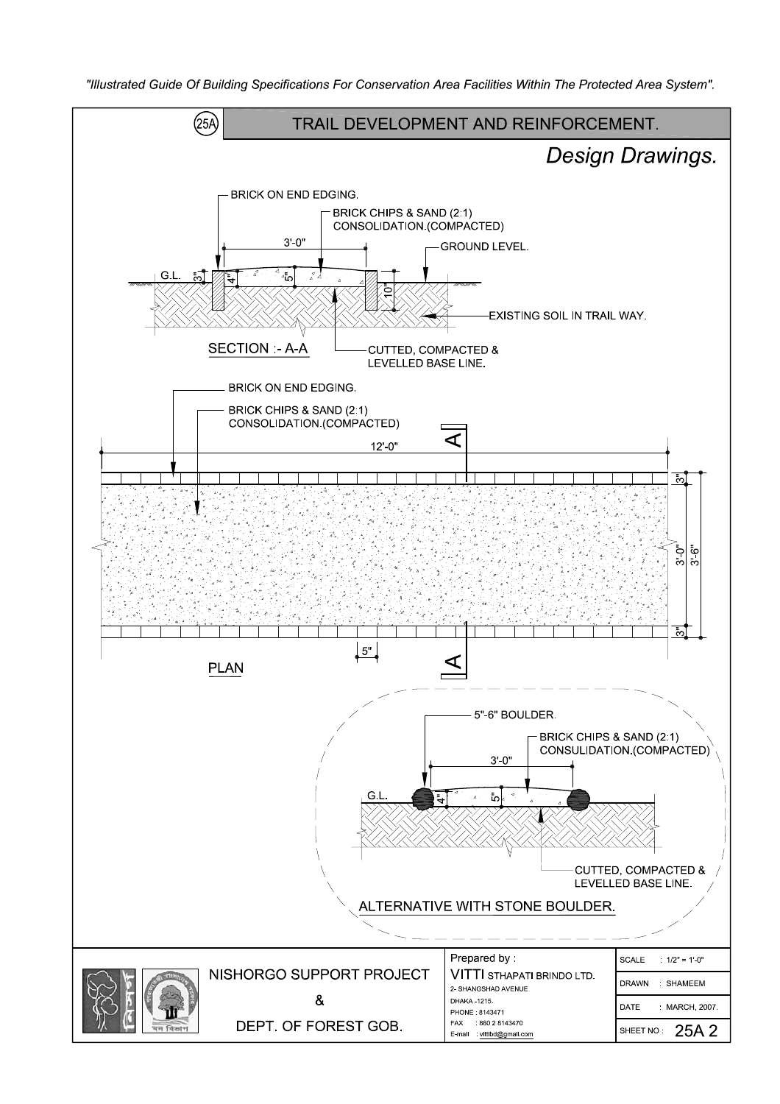"Illustrated Guide Of Building Specifications For Conservation Area Facilities Within The Protected Area System".